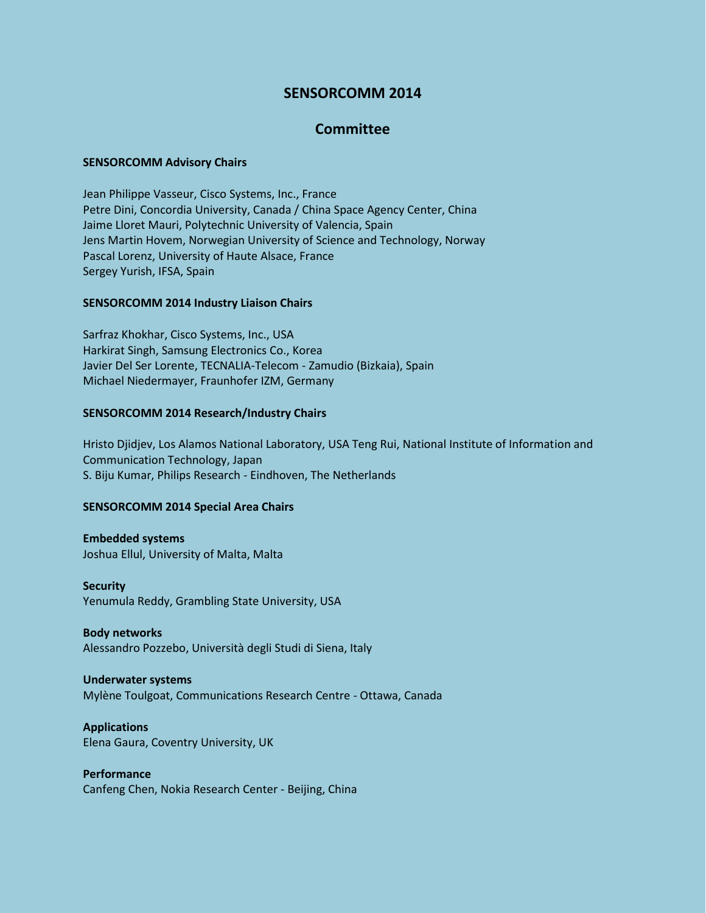# **SENSORCOMM 2014**

# **Committee**

## **SENSORCOMM Advisory Chairs**

Jean Philippe Vasseur, Cisco Systems, Inc., France Petre Dini, Concordia University, Canada / China Space Agency Center, China Jaime Lloret Mauri, Polytechnic University of Valencia, Spain Jens Martin Hovem, Norwegian University of Science and Technology, Norway Pascal Lorenz, University of Haute Alsace, France Sergey Yurish, IFSA, Spain

## **SENSORCOMM 2014 Industry Liaison Chairs**

Sarfraz Khokhar, Cisco Systems, Inc., USA Harkirat Singh, Samsung Electronics Co., Korea Javier Del Ser Lorente, TECNALIA-Telecom - Zamudio (Bizkaia), Spain Michael Niedermayer, Fraunhofer IZM, Germany

## **SENSORCOMM 2014 Research/Industry Chairs**

Hristo Djidjev, Los Alamos National Laboratory, USA Teng Rui, National Institute of Information and Communication Technology, Japan S. Biju Kumar, Philips Research - Eindhoven, The Netherlands

## **SENSORCOMM 2014 Special Area Chairs**

**Embedded systems** Joshua Ellul, University of Malta, Malta

**Security** Yenumula Reddy, Grambling State University, USA

## **Body networks**

Alessandro Pozzebo, Università degli Studi di Siena, Italy

#### **Underwater systems**

Mylène Toulgoat, Communications Research Centre - Ottawa, Canada

**Applications** Elena Gaura, Coventry University, UK

**Performance** Canfeng Chen, Nokia Research Center - Beijing, China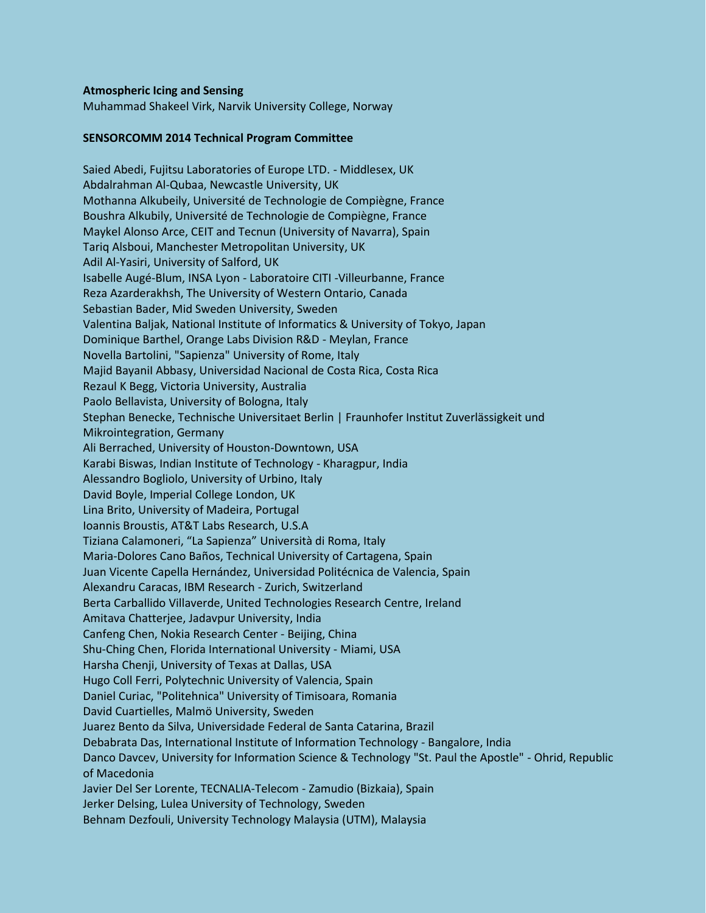#### **Atmospheric Icing and Sensing**

Muhammad Shakeel Virk, Narvik University College, Norway

#### **SENSORCOMM 2014 Technical Program Committee**

Saied Abedi, Fujitsu Laboratories of Europe LTD. - Middlesex, UK Abdalrahman Al-Qubaa, Newcastle University, UK Mothanna Alkubeily, Université de Technologie de Compiègne, France Boushra Alkubily, Université de Technologie de Compiègne, France Maykel Alonso Arce, CEIT and Tecnun (University of Navarra), Spain Tariq Alsboui, Manchester Metropolitan University, UK Adil Al-Yasiri, University of Salford, UK Isabelle Augé-Blum, INSA Lyon - Laboratoire CITI -Villeurbanne, France Reza Azarderakhsh, The University of Western Ontario, Canada Sebastian Bader, Mid Sweden University, Sweden Valentina Baljak, National Institute of Informatics & University of Tokyo, Japan Dominique Barthel, Orange Labs Division R&D - Meylan, France Novella Bartolini, "Sapienza" University of Rome, Italy Majid BayaniI Abbasy, Universidad Nacional de Costa Rica, Costa Rica Rezaul K Begg, Victoria University, Australia Paolo Bellavista, University of Bologna, Italy Stephan Benecke, Technische Universitaet Berlin | Fraunhofer Institut Zuverlässigkeit und Mikrointegration, Germany Ali Berrached, University of Houston-Downtown, USA Karabi Biswas, Indian Institute of Technology - Kharagpur, India Alessandro Bogliolo, University of Urbino, Italy David Boyle, Imperial College London, UK Lina Brito, University of Madeira, Portugal Ioannis Broustis, AT&T Labs Research, U.S.A Tiziana Calamoneri, "La Sapienza" Università di Roma, Italy Maria-Dolores Cano Baños, Technical University of Cartagena, Spain Juan Vicente Capella Hernández, Universidad Politécnica de Valencia, Spain Alexandru Caracas, IBM Research - Zurich, Switzerland Berta Carballido Villaverde, United Technologies Research Centre, Ireland Amitava Chatterjee, Jadavpur University, India Canfeng Chen, Nokia Research Center - Beijing, China Shu-Ching Chen, Florida International University - Miami, USA Harsha Chenji, University of Texas at Dallas, USA Hugo Coll Ferri, Polytechnic University of Valencia, Spain Daniel Curiac, "Politehnica" University of Timisoara, Romania David Cuartielles, Malmö University, Sweden Juarez Bento da Silva, Universidade Federal de Santa Catarina, Brazil Debabrata Das, International Institute of Information Technology - Bangalore, India Danco Davcev, University for Information Science & Technology "St. Paul the Apostle" - Ohrid, Republic of Macedonia Javier Del Ser Lorente, TECNALIA-Telecom - Zamudio (Bizkaia), Spain Jerker Delsing, Lulea University of Technology, Sweden Behnam Dezfouli, University Technology Malaysia (UTM), Malaysia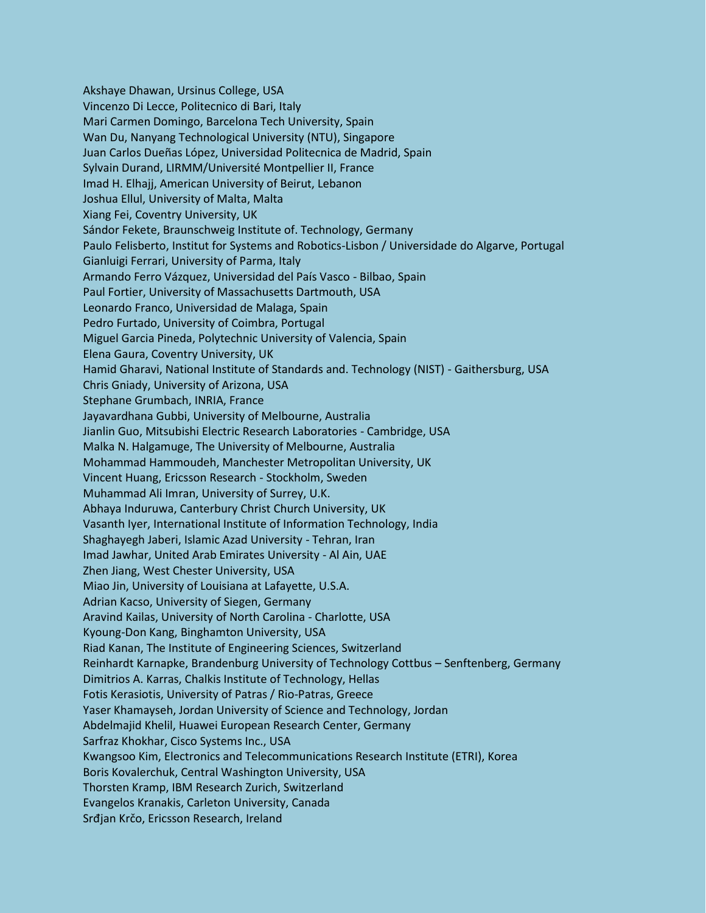Akshaye Dhawan, Ursinus College, USA Vincenzo Di Lecce, Politecnico di Bari, Italy Mari Carmen Domingo, Barcelona Tech University, Spain Wan Du, Nanyang Technological University (NTU), Singapore Juan Carlos Dueñas López, Universidad Politecnica de Madrid, Spain Sylvain Durand, LIRMM/Université Montpellier II, France Imad H. Elhajj, American University of Beirut, Lebanon Joshua Ellul, University of Malta, Malta Xiang Fei, Coventry University, UK Sándor Fekete, Braunschweig Institute of. Technology, Germany Paulo Felisberto, Institut for Systems and Robotics-Lisbon / Universidade do Algarve, Portugal Gianluigi Ferrari, University of Parma, Italy Armando Ferro Vázquez, Universidad del País Vasco - Bilbao, Spain Paul Fortier, University of Massachusetts Dartmouth, USA Leonardo Franco, Universidad de Malaga, Spain Pedro Furtado, University of Coimbra, Portugal Miguel Garcia Pineda, Polytechnic University of Valencia, Spain Elena Gaura, Coventry University, UK Hamid Gharavi, National Institute of Standards and. Technology (NIST) - Gaithersburg, USA Chris Gniady, University of Arizona, USA Stephane Grumbach, INRIA, France Jayavardhana Gubbi, University of Melbourne, Australia Jianlin Guo, Mitsubishi Electric Research Laboratories - Cambridge, USA Malka N. Halgamuge, The University of Melbourne, Australia Mohammad Hammoudeh, Manchester Metropolitan University, UK Vincent Huang, Ericsson Research - Stockholm, Sweden Muhammad Ali Imran, University of Surrey, U.K. Abhaya Induruwa, Canterbury Christ Church University, UK Vasanth Iyer, International Institute of Information Technology, India Shaghayegh Jaberi, Islamic Azad University - Tehran, Iran Imad Jawhar, United Arab Emirates University - Al Ain, UAE Zhen Jiang, West Chester University, USA Miao Jin, University of Louisiana at Lafayette, U.S.A. Adrian Kacso, University of Siegen, Germany Aravind Kailas, University of North Carolina - Charlotte, USA Kyoung-Don Kang, Binghamton University, USA Riad Kanan, The Institute of Engineering Sciences, Switzerland Reinhardt Karnapke, Brandenburg University of Technology Cottbus – Senftenberg, Germany Dimitrios A. Karras, Chalkis Institute of Technology, Hellas Fotis Kerasiotis, University of Patras / Rio-Patras, Greece Yaser Khamayseh, Jordan University of Science and Technology, Jordan Abdelmajid Khelil, Huawei European Research Center, Germany Sarfraz Khokhar, Cisco Systems Inc., USA Kwangsoo Kim, Electronics and Telecommunications Research Institute (ETRI), Korea Boris Kovalerchuk, Central Washington University, USA Thorsten Kramp, IBM Research Zurich, Switzerland Evangelos Kranakis, Carleton University, Canada Srđjan Krčo, Ericsson Research, Ireland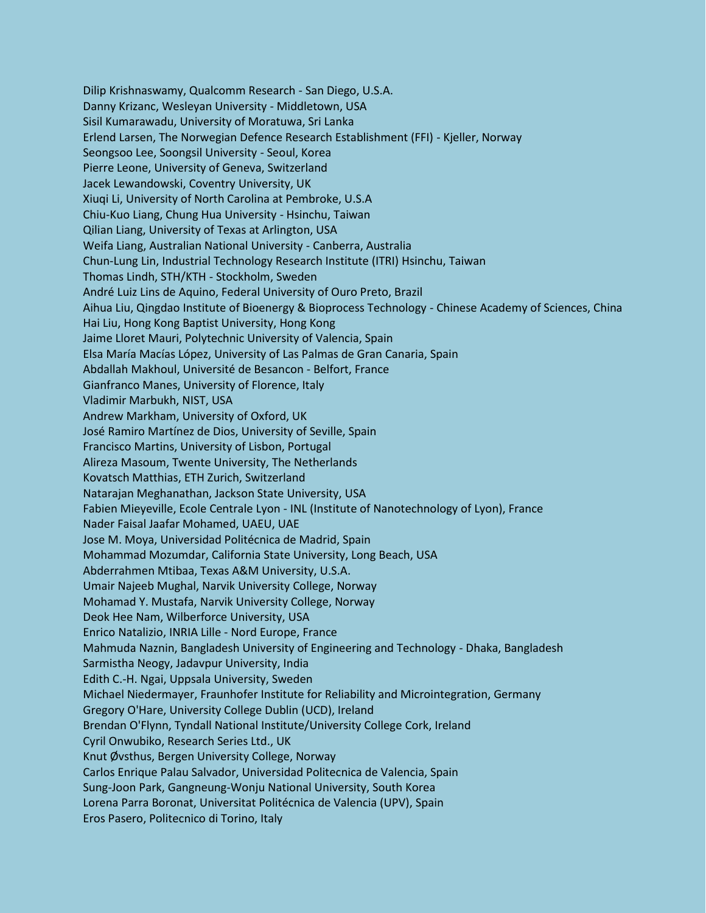Dilip Krishnaswamy, Qualcomm Research - San Diego, U.S.A. Danny Krizanc, Wesleyan University - Middletown, USA Sisil Kumarawadu, University of Moratuwa, Sri Lanka Erlend Larsen, The Norwegian Defence Research Establishment (FFI) - Kjeller, Norway Seongsoo Lee, Soongsil University - Seoul, Korea Pierre Leone, University of Geneva, Switzerland Jacek Lewandowski, Coventry University, UK Xiuqi Li, University of North Carolina at Pembroke, U.S.A Chiu-Kuo Liang, Chung Hua University - Hsinchu, Taiwan Qilian Liang, University of Texas at Arlington, USA Weifa Liang, Australian National University - Canberra, Australia Chun-Lung Lin, Industrial Technology Research Institute (ITRI) Hsinchu, Taiwan Thomas Lindh, STH/KTH - Stockholm, Sweden André Luiz Lins de Aquino, Federal University of Ouro Preto, Brazil Aihua Liu, Qingdao Institute of Bioenergy & Bioprocess Technology - Chinese Academy of Sciences, China Hai Liu, Hong Kong Baptist University, Hong Kong Jaime Lloret Mauri, Polytechnic University of Valencia, Spain Elsa María Macías López, University of Las Palmas de Gran Canaria, Spain Abdallah Makhoul, Université de Besancon - Belfort, France Gianfranco Manes, University of Florence, Italy Vladimir Marbukh, NIST, USA Andrew Markham, University of Oxford, UK José Ramiro Martínez de Dios, University of Seville, Spain Francisco Martins, University of Lisbon, Portugal Alireza Masoum, Twente University, The Netherlands Kovatsch Matthias, ETH Zurich, Switzerland Natarajan Meghanathan, Jackson State University, USA Fabien Mieyeville, Ecole Centrale Lyon - INL (Institute of Nanotechnology of Lyon), France Nader Faisal Jaafar Mohamed, UAEU, UAE Jose M. Moya, Universidad Politécnica de Madrid, Spain Mohammad Mozumdar, California State University, Long Beach, USA Abderrahmen Mtibaa, Texas A&M University, U.S.A. Umair Najeeb Mughal, Narvik University College, Norway Mohamad Y. Mustafa, Narvik University College, Norway Deok Hee Nam, Wilberforce University, USA Enrico Natalizio, INRIA Lille - Nord Europe, France Mahmuda Naznin, Bangladesh University of Engineering and Technology - Dhaka, Bangladesh Sarmistha Neogy, Jadavpur University, India Edith C.-H. Ngai, Uppsala University, Sweden Michael Niedermayer, Fraunhofer Institute for Reliability and Microintegration, Germany Gregory O'Hare, University College Dublin (UCD), Ireland Brendan O'Flynn, Tyndall National Institute/University College Cork, Ireland Cyril Onwubiko, Research Series Ltd., UK Knut Øvsthus, Bergen University College, Norway Carlos Enrique Palau Salvador, Universidad Politecnica de Valencia, Spain Sung-Joon Park, Gangneung-Wonju National University, South Korea Lorena Parra Boronat, Universitat Politécnica de Valencia (UPV), Spain Eros Pasero, Politecnico di Torino, Italy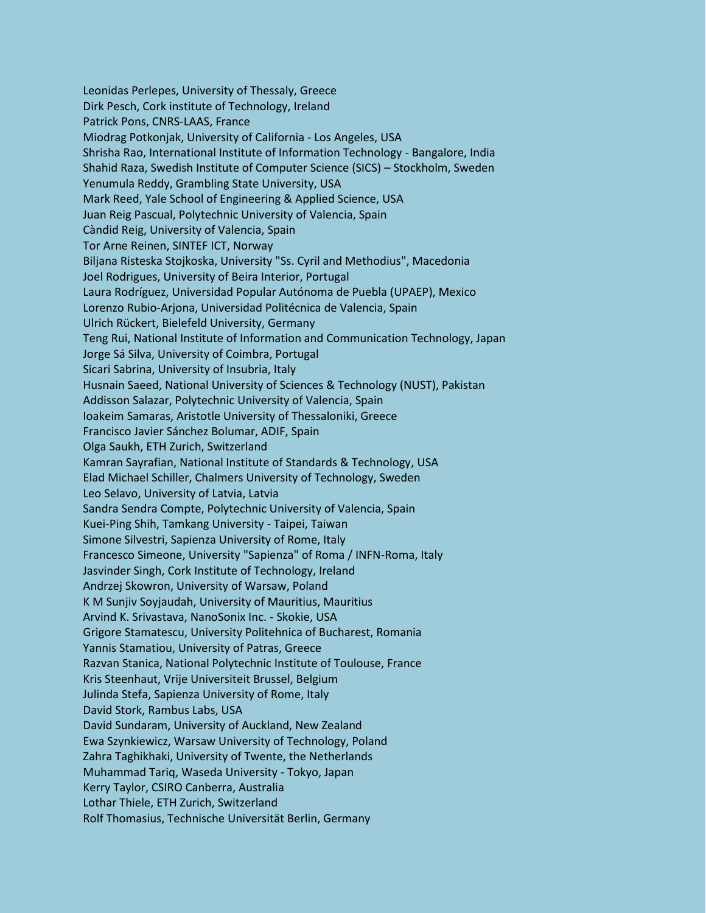Leonidas Perlepes, University of Thessaly, Greece Dirk Pesch, Cork institute of Technology, Ireland Patrick Pons, CNRS-LAAS, France Miodrag Potkonjak, University of California - Los Angeles, USA Shrisha Rao, International Institute of Information Technology - Bangalore, India Shahid Raza, Swedish Institute of Computer Science (SICS) – Stockholm, Sweden Yenumula Reddy, Grambling State University, USA Mark Reed, Yale School of Engineering & Applied Science, USA Juan Reig Pascual, Polytechnic University of Valencia, Spain Càndid Reig, University of Valencia, Spain Tor Arne Reinen, SINTEF ICT, Norway Biljana Risteska Stojkoska, University "Ss. Cyril and Methodius", Macedonia Joel Rodrigues, University of Beira Interior, Portugal Laura Rodríguez, Universidad Popular Autónoma de Puebla (UPAEP), Mexico Lorenzo Rubio-Arjona, Universidad Politécnica de Valencia, Spain Ulrich Rückert, Bielefeld University, Germany Teng Rui, National Institute of Information and Communication Technology, Japan Jorge Sá Silva, University of Coimbra, Portugal Sicari Sabrina, University of Insubria, Italy Husnain Saeed, National University of Sciences & Technology (NUST), Pakistan Addisson Salazar, Polytechnic University of Valencia, Spain Ioakeim Samaras, Aristotle University of Thessaloniki, Greece Francisco Javier Sánchez Bolumar, ADIF, Spain Olga Saukh, ETH Zurich, Switzerland Kamran Sayrafian, National Institute of Standards & Technology, USA Elad Michael Schiller, Chalmers University of Technology, Sweden Leo Selavo, University of Latvia, Latvia Sandra Sendra Compte, Polytechnic University of Valencia, Spain Kuei-Ping Shih, Tamkang University - Taipei, Taiwan Simone Silvestri, Sapienza University of Rome, Italy Francesco Simeone, University "Sapienza" of Roma / INFN-Roma, Italy Jasvinder Singh, Cork Institute of Technology, Ireland Andrzej Skowron, University of Warsaw, Poland K M Sunjiv Soyjaudah, University of Mauritius, Mauritius Arvind K. Srivastava, NanoSonix Inc. - Skokie, USA Grigore Stamatescu, University Politehnica of Bucharest, Romania Yannis Stamatiou, University of Patras, Greece Razvan Stanica, National Polytechnic Institute of Toulouse, France Kris Steenhaut, Vrije Universiteit Brussel, Belgium Julinda Stefa, Sapienza University of Rome, Italy David Stork, Rambus Labs, USA David Sundaram, University of Auckland, New Zealand Ewa Szynkiewicz, Warsaw University of Technology, Poland Zahra Taghikhaki, University of Twente, the Netherlands Muhammad Tariq, Waseda University - Tokyo, Japan Kerry Taylor, CSIRO Canberra, Australia Lothar Thiele, ETH Zurich, Switzerland Rolf Thomasius, Technische Universität Berlin, Germany